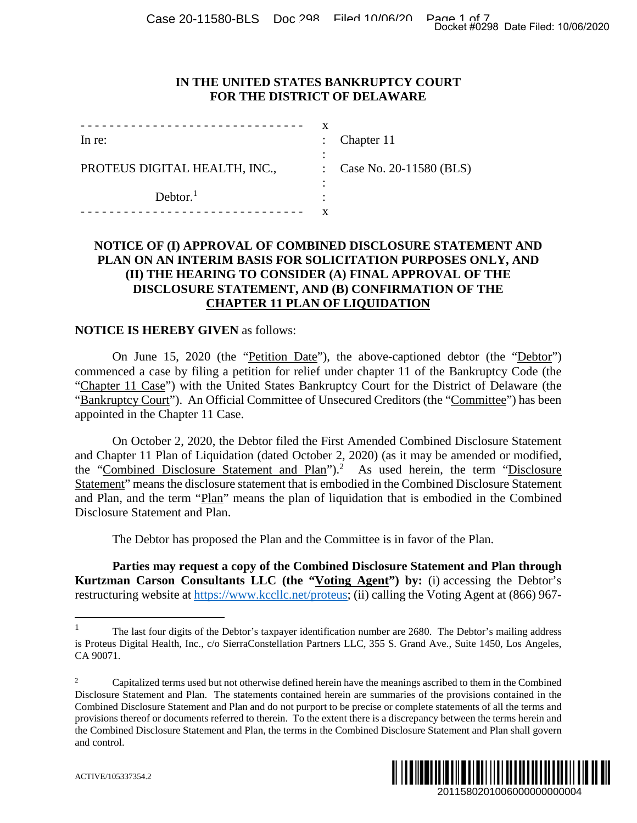### **IN THE UNITED STATES BANKRUPTCY COURT FOR THE DISTRICT OF DELAWARE**

|                               | x             |                         |
|-------------------------------|---------------|-------------------------|
| In re:                        |               | Chapter 11              |
|                               |               |                         |
| PROTEUS DIGITAL HEALTH, INC., | $\mathcal{L}$ | Case No. 20-11580 (BLS) |
|                               |               |                         |
| Dektor. <sup>1</sup>          |               |                         |
|                               |               |                         |

### **NOTICE OF (I) APPROVAL OF COMBINED DISCLOSURE STATEMENT AND PLAN ON AN INTERIM BASIS FOR SOLICITATION PURPOSES ONLY, AND (II) THE HEARING TO CONSIDER (A) FINAL APPROVAL OF THE DISCLOSURE STATEMENT, AND (B) CONFIRMATION OF THE CHAPTER 11 PLAN OF LIQUIDATION**

#### **NOTICE IS HEREBY GIVEN** as follows:

On June 15, 2020 (the "Petition Date"), the above-captioned debtor (the "Debtor") commenced a case by filing a petition for relief under chapter 11 of the Bankruptcy Code (the "Chapter 11 Case") with the United States Bankruptcy Court for the District of Delaware (the "Bankruptcy Court"). An Official Committee of Unsecured Creditors (the "Committee") has been appointed in the Chapter 11 Case.

On October 2, 2020, the Debtor filed the First Amended Combined Disclosure Statement and Chapter 11 Plan of Liquidation (dated October 2, 2020) (as it may be amended or modified, the "Combined Disclosure Statement and Plan").<sup>2</sup> As used herein, the term "Disclosure Statement" means the disclosure statement that is embodied in the Combined Disclosure Statement and Plan, and the term "Plan" means the plan of liquidation that is embodied in the Combined Disclosure Statement and Plan. Docket #0298 Date Filed: 10/06/2020<br>
2011<br>
2012<br>
2012<br>
2022<br>
2022<br>
2022<br>
2022<br>
2022<br>
2022<br>
2022<br>
2022<br>
2022<br>
2011<br>
2011<br>
2011<br>
2011<br>
2011<br>
2011<br>
2011<br>
2011<br>
2021<br>
2020<br>
2020<br>
2020<br>
2020<br>
2020<br>
2020<br>
2020<br>
2020<br>
2020<br>
2020<br>

The Debtor has proposed the Plan and the Committee is in favor of the Plan.

**Parties may request a copy of the Combined Disclosure Statement and Plan through Kurtzman Carson Consultants LLC (the "Voting Agent") by:** (i) accessing the Debtor's restructuring website at https://www.kccllc.net/proteus; (ii) calling the Voting Agent at (866) 967-

<sup>&</sup>lt;sup>2</sup> Capitalized terms used but not otherwise defined herein have the meanings ascribed to them in the Combined Disclosure Statement and Plan. The statements contained herein are summaries of the provisions contained in the Combined Disclosure Statement and Plan and do not purport to be precise or complete statements of all the terms and provisions thereof or documents referred to therein. To the extent there is a discrepancy between the terms herein and the Combined Disclosure Statement and Plan, the terms in the Combined Disclosure Statement and Plan shall govern and control.



<sup>1</sup> The last four digits of the Debtor's taxpayer identification number are 2680. The Debtor's mailing address is Proteus Digital Health, Inc., c/o SierraConstellation Partners LLC, 355 S. Grand Ave., Suite 1450, Los Angeles, CA 90071.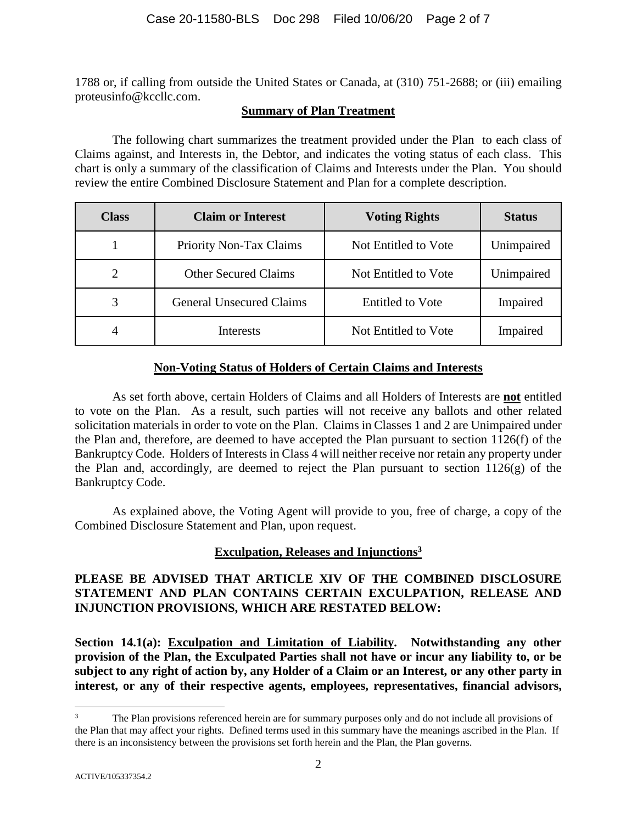1788 or, if calling from outside the United States or Canada, at (310) 751-2688; or (iii) emailing proteusinfo@kccllc.com.

### **Summary of Plan Treatment**

The following chart summarizes the treatment provided under the Plan to each class of Claims against, and Interests in, the Debtor, and indicates the voting status of each class. This chart is only a summary of the classification of Claims and Interests under the Plan. You should review the entire Combined Disclosure Statement and Plan for a complete description.

| <b>Class</b> | <b>Claim or Interest</b>        | <b>Voting Rights</b>    | <b>Status</b> |
|--------------|---------------------------------|-------------------------|---------------|
|              | <b>Priority Non-Tax Claims</b>  | Not Entitled to Vote    | Unimpaired    |
| 2            | <b>Other Secured Claims</b>     | Not Entitled to Vote    | Unimpaired    |
| 3            | <b>General Unsecured Claims</b> | <b>Entitled</b> to Vote | Impaired      |
| 4            | Interests                       | Not Entitled to Vote    | Impaired      |

# **Non-Voting Status of Holders of Certain Claims and Interests**

As set forth above, certain Holders of Claims and all Holders of Interests are **not** entitled to vote on the Plan. As a result, such parties will not receive any ballots and other related solicitation materials in order to vote on the Plan. Claims in Classes 1 and 2 are Unimpaired under the Plan and, therefore, are deemed to have accepted the Plan pursuant to section 1126(f) of the Bankruptcy Code. Holders of Interests in Class 4 will neither receive nor retain any property under the Plan and, accordingly, are deemed to reject the Plan pursuant to section 1126(g) of the Bankruptcy Code.

As explained above, the Voting Agent will provide to you, free of charge, a copy of the Combined Disclosure Statement and Plan, upon request.

# **Exculpation, Releases and Injunctions<sup>3</sup>**

# **PLEASE BE ADVISED THAT ARTICLE XIV OF THE COMBINED DISCLOSURE STATEMENT AND PLAN CONTAINS CERTAIN EXCULPATION, RELEASE AND INJUNCTION PROVISIONS, WHICH ARE RESTATED BELOW:**

**Section 14.1(a): Exculpation and Limitation of Liability. Notwithstanding any other provision of the Plan, the Exculpated Parties shall not have or incur any liability to, or be subject to any right of action by, any Holder of a Claim or an Interest, or any other party in interest, or any of their respective agents, employees, representatives, financial advisors,** 

The Plan provisions referenced herein are for summary purposes only and do not include all provisions of the Plan that may affect your rights. Defined terms used in this summary have the meanings ascribed in the Plan. If there is an inconsistency between the provisions set forth herein and the Plan, the Plan governs.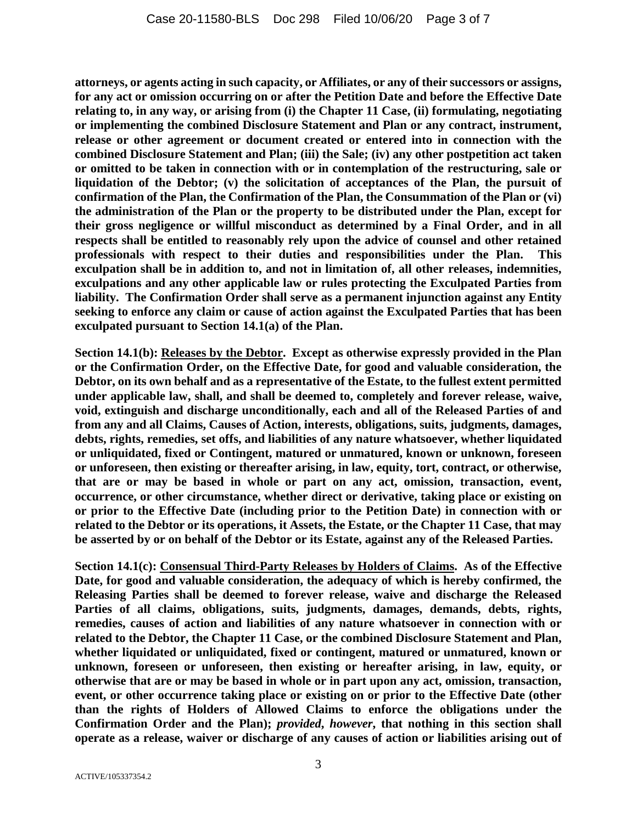**attorneys, or agents acting in such capacity, or Affiliates, or any of their successors or assigns, for any act or omission occurring on or after the Petition Date and before the Effective Date relating to, in any way, or arising from (i) the Chapter 11 Case, (ii) formulating, negotiating or implementing the combined Disclosure Statement and Plan or any contract, instrument, release or other agreement or document created or entered into in connection with the combined Disclosure Statement and Plan; (iii) the Sale; (iv) any other postpetition act taken or omitted to be taken in connection with or in contemplation of the restructuring, sale or liquidation of the Debtor; (v) the solicitation of acceptances of the Plan, the pursuit of confirmation of the Plan, the Confirmation of the Plan, the Consummation of the Plan or (vi) the administration of the Plan or the property to be distributed under the Plan, except for their gross negligence or willful misconduct as determined by a Final Order, and in all respects shall be entitled to reasonably rely upon the advice of counsel and other retained**  professionals with respect to their duties and responsibilities under the Plan. **exculpation shall be in addition to, and not in limitation of, all other releases, indemnities, exculpations and any other applicable law or rules protecting the Exculpated Parties from liability. The Confirmation Order shall serve as a permanent injunction against any Entity seeking to enforce any claim or cause of action against the Exculpated Parties that has been exculpated pursuant to Section 14.1(a) of the Plan.** 

**Section 14.1(b): Releases by the Debtor. Except as otherwise expressly provided in the Plan or the Confirmation Order, on the Effective Date, for good and valuable consideration, the Debtor, on its own behalf and as a representative of the Estate, to the fullest extent permitted under applicable law, shall, and shall be deemed to, completely and forever release, waive, void, extinguish and discharge unconditionally, each and all of the Released Parties of and from any and all Claims, Causes of Action, interests, obligations, suits, judgments, damages, debts, rights, remedies, set offs, and liabilities of any nature whatsoever, whether liquidated or unliquidated, fixed or Contingent, matured or unmatured, known or unknown, foreseen or unforeseen, then existing or thereafter arising, in law, equity, tort, contract, or otherwise, that are or may be based in whole or part on any act, omission, transaction, event, occurrence, or other circumstance, whether direct or derivative, taking place or existing on or prior to the Effective Date (including prior to the Petition Date) in connection with or related to the Debtor or its operations, it Assets, the Estate, or the Chapter 11 Case, that may be asserted by or on behalf of the Debtor or its Estate, against any of the Released Parties.** 

**Section 14.1(c): Consensual Third-Party Releases by Holders of Claims. As of the Effective Date, for good and valuable consideration, the adequacy of which is hereby confirmed, the Releasing Parties shall be deemed to forever release, waive and discharge the Released Parties of all claims, obligations, suits, judgments, damages, demands, debts, rights, remedies, causes of action and liabilities of any nature whatsoever in connection with or related to the Debtor, the Chapter 11 Case, or the combined Disclosure Statement and Plan, whether liquidated or unliquidated, fixed or contingent, matured or unmatured, known or unknown, foreseen or unforeseen, then existing or hereafter arising, in law, equity, or otherwise that are or may be based in whole or in part upon any act, omission, transaction, event, or other occurrence taking place or existing on or prior to the Effective Date (other than the rights of Holders of Allowed Claims to enforce the obligations under the Confirmation Order and the Plan);** *provided***,** *however***, that nothing in this section shall operate as a release, waiver or discharge of any causes of action or liabilities arising out of**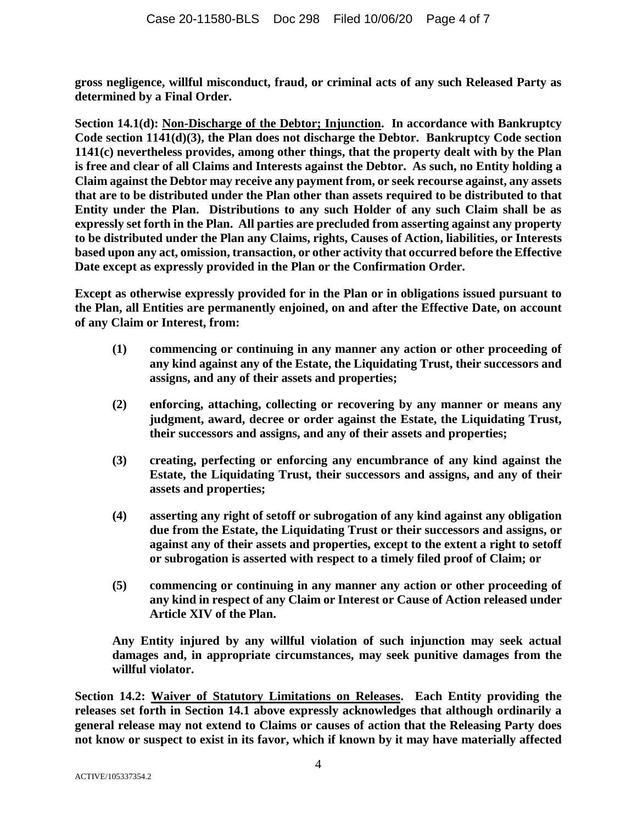**gross negligence, willful misconduct, fraud, or criminal acts of any such Released Party as determined by a Final Order.** 

**Section 14.1(d): Non-Discharge of the Debtor; Injunction. In accordance with Bankruptcy**  Code section 1141(d)(3), the Plan does not discharge the Debtor. Bankruptcy Code section **1141(c) nevertheless provides, among other things, that the property dealt with by the Plan is free and clear of all Claims and Interests against the Debtor. As such, no Entity holding a Claim against the Debtor may receive any payment from, or seek recourse against, any assets that are to be distributed under the Plan other than assets required to be distributed to that Entity under the Plan. Distributions to any such Holder of any such Claim shall be as expressly set forth in the Plan. All parties are precluded from asserting against any property to be distributed under the Plan any Claims, rights, Causes of Action, liabilities, or Interests based upon any act, omission, transaction, or other activity that occurred before the Effective Date except as expressly provided in the Plan or the Confirmation Order.** 

**Except as otherwise expressly provided for in the Plan or in obligations issued pursuant to the Plan, all Entities are permanently enjoined, on and after the Effective Date, on account of any Claim or Interest, from:** 

- **(1) commencing or continuing in any manner any action or other proceeding of any kind against any of the Estate, the Liquidating Trust, their successors and assigns, and any of their assets and properties;**
- **(2) enforcing, attaching, collecting or recovering by any manner or means any judgment, award, decree or order against the Estate, the Liquidating Trust, their successors and assigns, and any of their assets and properties;**
- **(3) creating, perfecting or enforcing any encumbrance of any kind against the Estate, the Liquidating Trust, their successors and assigns, and any of their assets and properties;**
- **(4) asserting any right of setoff or subrogation of any kind against any obligation due from the Estate, the Liquidating Trust or their successors and assigns, or against any of their assets and properties, except to the extent a right to setoff or subrogation is asserted with respect to a timely filed proof of Claim; or**
- **(5) commencing or continuing in any manner any action or other proceeding of any kind in respect of any Claim or Interest or Cause of Action released under Article XIV of the Plan.**

**Any Entity injured by any willful violation of such injunction may seek actual damages and, in appropriate circumstances, may seek punitive damages from the willful violator.** 

**Section 14.2: Waiver of Statutory Limitations on Releases. Each Entity providing the releases set forth in Section 14.1 above expressly acknowledges that although ordinarily a general release may not extend to Claims or causes of action that the Releasing Party does not know or suspect to exist in its favor, which if known by it may have materially affected**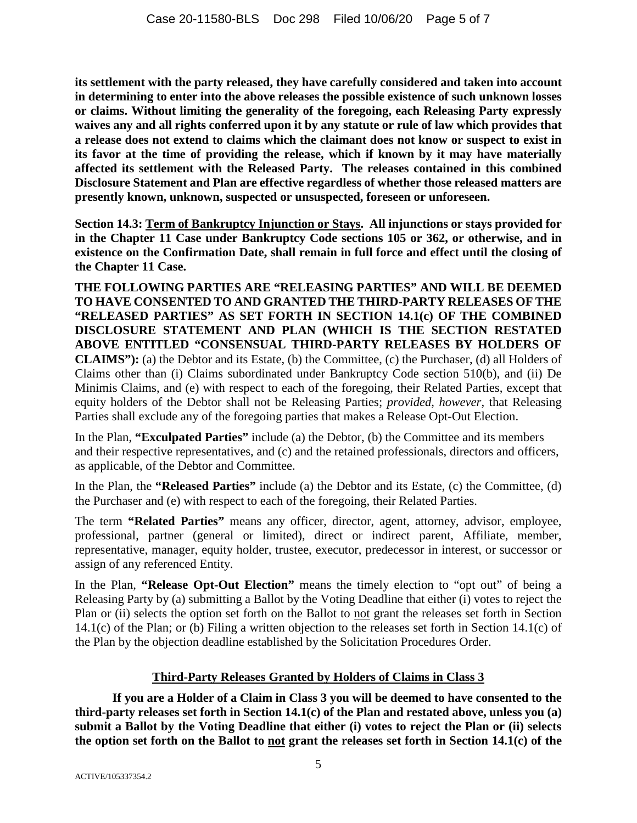**its settlement with the party released, they have carefully considered and taken into account in determining to enter into the above releases the possible existence of such unknown losses or claims. Without limiting the generality of the foregoing, each Releasing Party expressly waives any and all rights conferred upon it by any statute or rule of law which provides that a release does not extend to claims which the claimant does not know or suspect to exist in its favor at the time of providing the release, which if known by it may have materially affected its settlement with the Released Party. The releases contained in this combined Disclosure Statement and Plan are effective regardless of whether those released matters are presently known, unknown, suspected or unsuspected, foreseen or unforeseen.** 

**Section 14.3: Term of Bankruptcy Injunction or Stays. All injunctions or stays provided for in the Chapter 11 Case under Bankruptcy Code sections 105 or 362, or otherwise, and in existence on the Confirmation Date, shall remain in full force and effect until the closing of the Chapter 11 Case.** 

**THE FOLLOWING PARTIES ARE "RELEASING PARTIES" AND WILL BE DEEMED TO HAVE CONSENTED TO AND GRANTED THE THIRD-PARTY RELEASES OF THE "RELEASED PARTIES" AS SET FORTH IN SECTION 14.1(c) OF THE COMBINED DISCLOSURE STATEMENT AND PLAN (WHICH IS THE SECTION RESTATED ABOVE ENTITLED "CONSENSUAL THIRD-PARTY RELEASES BY HOLDERS OF CLAIMS"):** (a) the Debtor and its Estate, (b) the Committee, (c) the Purchaser, (d) all Holders of Claims other than (i) Claims subordinated under Bankruptcy Code section 510(b), and (ii) De Minimis Claims, and (e) with respect to each of the foregoing, their Related Parties, except that equity holders of the Debtor shall not be Releasing Parties; *provided*, *however*, that Releasing Parties shall exclude any of the foregoing parties that makes a Release Opt-Out Election.

In the Plan, **"Exculpated Parties"** include (a) the Debtor, (b) the Committee and its members and their respective representatives, and (c) and the retained professionals, directors and officers, as applicable, of the Debtor and Committee.

In the Plan, the **"Released Parties"** include (a) the Debtor and its Estate, (c) the Committee, (d) the Purchaser and (e) with respect to each of the foregoing, their Related Parties.

The term **"Related Parties"** means any officer, director, agent, attorney, advisor, employee, professional, partner (general or limited), direct or indirect parent, Affiliate, member, representative, manager, equity holder, trustee, executor, predecessor in interest, or successor or assign of any referenced Entity.

In the Plan, **"Release Opt-Out Election"** means the timely election to "opt out" of being a Releasing Party by (a) submitting a Ballot by the Voting Deadline that either (i) votes to reject the Plan or (ii) selects the option set forth on the Ballot to not grant the releases set forth in Section 14.1(c) of the Plan; or (b) Filing a written objection to the releases set forth in Section 14.1(c) of the Plan by the objection deadline established by the Solicitation Procedures Order.

# **Third-Party Releases Granted by Holders of Claims in Class 3**

**If you are a Holder of a Claim in Class 3 you will be deemed to have consented to the third-party releases set forth in Section 14.1(c) of the Plan and restated above, unless you (a) submit a Ballot by the Voting Deadline that either (i) votes to reject the Plan or (ii) selects the option set forth on the Ballot to not grant the releases set forth in Section 14.1(c) of the**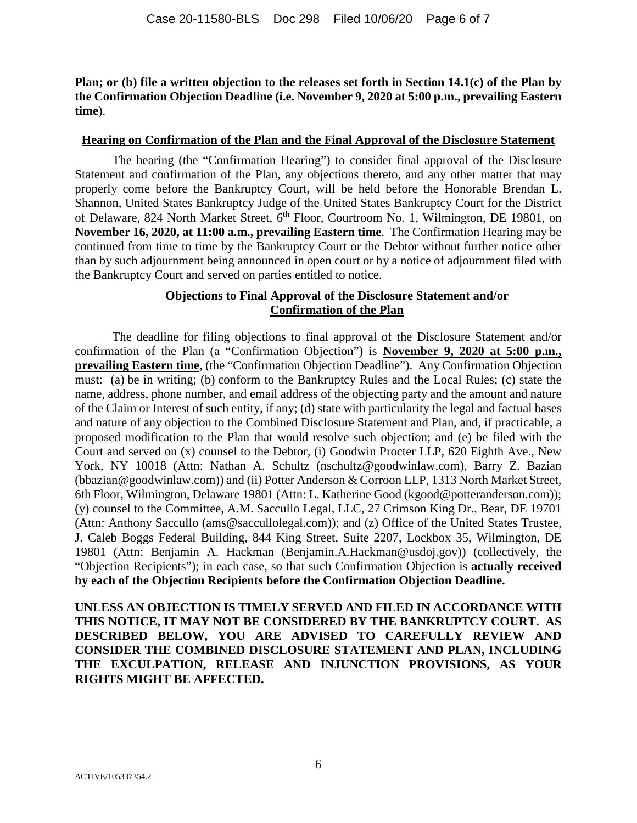**Plan; or (b) file a written objection to the releases set forth in Section 14.1(c) of the Plan by the Confirmation Objection Deadline (i.e. November 9, 2020 at 5:00 p.m., prevailing Eastern time**).

#### **Hearing on Confirmation of the Plan and the Final Approval of the Disclosure Statement**

The hearing (the "Confirmation Hearing") to consider final approval of the Disclosure Statement and confirmation of the Plan, any objections thereto, and any other matter that may properly come before the Bankruptcy Court, will be held before the Honorable Brendan L. Shannon, United States Bankruptcy Judge of the United States Bankruptcy Court for the District of Delaware, 824 North Market Street, 6<sup>th</sup> Floor, Courtroom No. 1, Wilmington, DE 19801, on **November 16, 2020, at 11:00 a.m., prevailing Eastern time**. The Confirmation Hearing may be continued from time to time by the Bankruptcy Court or the Debtor without further notice other than by such adjournment being announced in open court or by a notice of adjournment filed with the Bankruptcy Court and served on parties entitled to notice.

## **Objections to Final Approval of the Disclosure Statement and/or Confirmation of the Plan**

The deadline for filing objections to final approval of the Disclosure Statement and/or confirmation of the Plan (a "Confirmation Objection") is **November 9, 2020 at 5:00 p.m., prevailing Eastern time**, (the "Confirmation Objection Deadline"). Any Confirmation Objection must: (a) be in writing; (b) conform to the Bankruptcy Rules and the Local Rules; (c) state the name, address, phone number, and email address of the objecting party and the amount and nature of the Claim or Interest of such entity, if any; (d) state with particularity the legal and factual bases and nature of any objection to the Combined Disclosure Statement and Plan, and, if practicable, a proposed modification to the Plan that would resolve such objection; and (e) be filed with the Court and served on (x) counsel to the Debtor, (i) Goodwin Procter LLP, 620 Eighth Ave., New York, NY 10018 (Attn: Nathan A. Schultz (nschultz@goodwinlaw.com), Barry Z. Bazian (bbazian@goodwinlaw.com)) and (ii) Potter Anderson & Corroon LLP, 1313 North Market Street, 6th Floor, Wilmington, Delaware 19801 (Attn: L. Katherine Good (kgood@potteranderson.com)); (y) counsel to the Committee, A.M. Saccullo Legal, LLC, 27 Crimson King Dr., Bear, DE 19701 (Attn: Anthony Saccullo (ams@saccullolegal.com)); and (z) Office of the United States Trustee, J. Caleb Boggs Federal Building, 844 King Street, Suite 2207, Lockbox 35, Wilmington, DE 19801 (Attn: Benjamin A. Hackman (Benjamin.A.Hackman@usdoj.gov)) (collectively, the "Objection Recipients"); in each case, so that such Confirmation Objection is **actually received by each of the Objection Recipients before the Confirmation Objection Deadline.**

**UNLESS AN OBJECTION IS TIMELY SERVED AND FILED IN ACCORDANCE WITH THIS NOTICE, IT MAY NOT BE CONSIDERED BY THE BANKRUPTCY COURT. AS DESCRIBED BELOW, YOU ARE ADVISED TO CAREFULLY REVIEW AND CONSIDER THE COMBINED DISCLOSURE STATEMENT AND PLAN, INCLUDING THE EXCULPATION, RELEASE AND INJUNCTION PROVISIONS, AS YOUR RIGHTS MIGHT BE AFFECTED.**